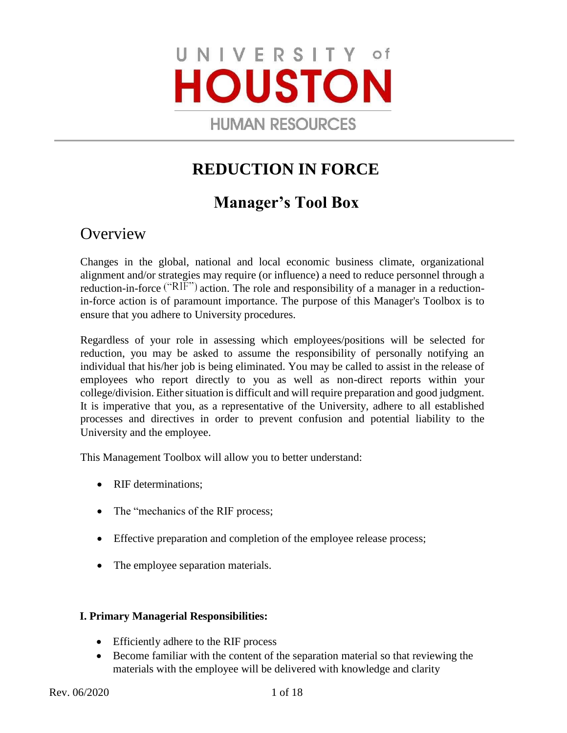# UNIVERSITY of **HOUSTON**

**HUMAN RESOURCES** 

# **REDUCTION IN FORCE**

# **Manager's Tool Box**

# **Overview**

Changes in the global, national and local economic business climate, organizational alignment and/or strategies may require (or influence) a need to reduce personnel through a reduction-in-force  $("RIF")$  action. The role and responsibility of a manager in a reductionin-force action is of paramount importance. The purpose of this Manager's Toolbox is to ensure that you adhere to University procedures.

Regardless of your role in assessing which employees/positions will be selected for reduction, you may be asked to assume the responsibility of personally notifying an individual that his/her job is being eliminated. You may be called to assist in the release of employees who report directly to you as well as non-direct reports within your college/division. Either situation is difficult and will require preparation and good judgment. It is imperative that you, as a representative of the University, adhere to all established processes and directives in order to prevent confusion and potential liability to the University and the employee.

This Management Toolbox will allow you to better understand:

- RIF determinations;
- The "mechanics of the RIF process;
- Effective preparation and completion of the employee release process;
- The employee separation materials.

# **I. Primary Managerial Responsibilities:**

- Efficiently adhere to the RIF process
- Become familiar with the content of the separation material so that reviewing the materials with the employee will be delivered with knowledge and clarity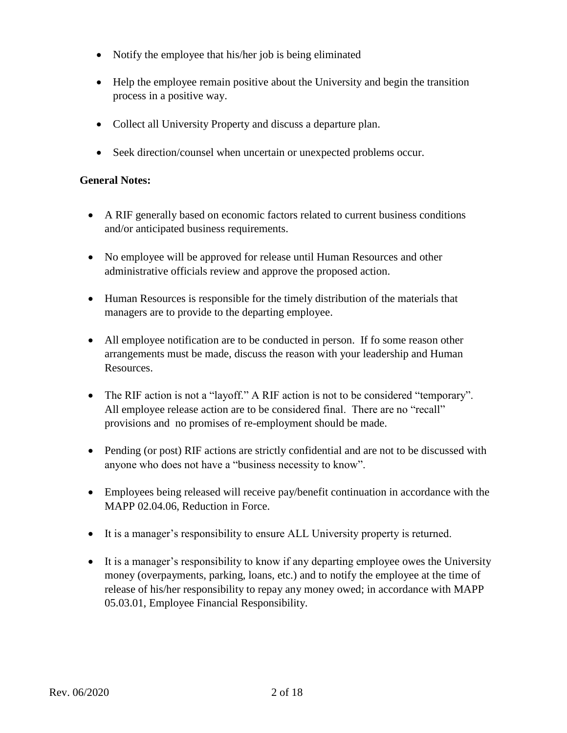- Notify the employee that his/her job is being eliminated
- Help the employee remain positive about the University and begin the transition process in a positive way.
- Collect all University Property and discuss a departure plan.
- Seek direction/counsel when uncertain or unexpected problems occur.

# **General Notes:**

- A RIF generally based on economic factors related to current business conditions and/or anticipated business requirements.
- No employee will be approved for release until Human Resources and other administrative officials review and approve the proposed action.
- Human Resources is responsible for the timely distribution of the materials that managers are to provide to the departing employee.
- All employee notification are to be conducted in person. If fo some reason other arrangements must be made, discuss the reason with your leadership and Human Resources.
- The RIF action is not a "layoff." A RIF action is not to be considered "temporary". All employee release action are to be considered final. There are no "recall" provisions and no promises of re-employment should be made.
- Pending (or post) RIF actions are strictly confidential and are not to be discussed with anyone who does not have a "business necessity to know".
- Employees being released will receive pay/benefit continuation in accordance with the MAPP 02.04.06, Reduction in Force.
- It is a manager's responsibility to ensure ALL University property is returned.
- It is a manager's responsibility to know if any departing employee owes the University money (overpayments, parking, loans, etc.) and to notify the employee at the time of release of his/her responsibility to repay any money owed; in accordance with MAPP 05.03.01, Employee Financial Responsibility.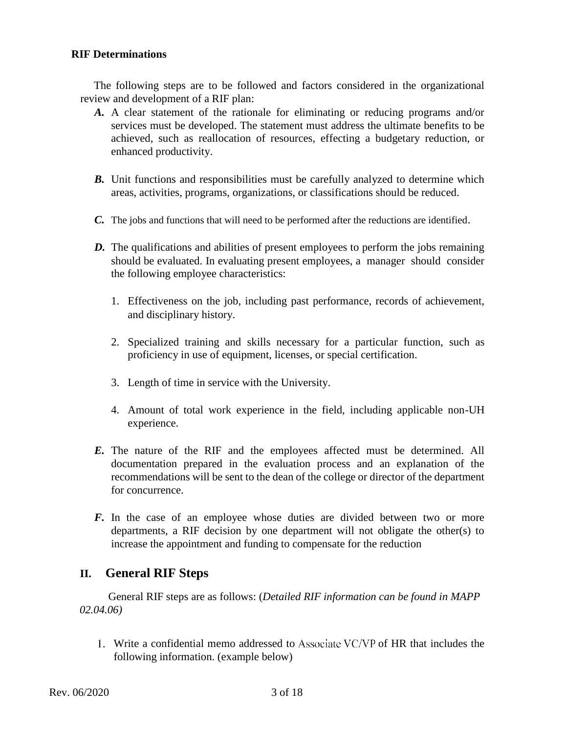#### **RIF Determinations**

The following steps are to be followed and factors considered in the organizational review and development of a RIF plan:

- *A.* A clear statement of the rationale for eliminating or reducing programs and/or services must be developed. The statement must address the ultimate benefits to be achieved, such as reallocation of resources, effecting a budgetary reduction, or enhanced productivity.
- *B.* Unit functions and responsibilities must be carefully analyzed to determine which areas, activities, programs, organizations, or classifications should be reduced.
- *C.* The jobs and functions that will need to be performed after the reductions are identified.
- *D.* The qualifications and abilities of present employees to perform the jobs remaining should be evaluated. In evaluating present employees, a manager should consider the following employee characteristics:
	- 1. Effectiveness on the job, including past performance, records of achievement, and disciplinary history.
	- 2. Specialized training and skills necessary for a particular function, such as proficiency in use of equipment, licenses, or special certification.
	- 3. Length of time in service with the University.
	- 4. Amount of total work experience in the field, including applicable non-UH experience.
- *E.* The nature of the RIF and the employees affected must be determined. All documentation prepared in the evaluation process and an explanation of the recommendations will be sent to the dean of the college or director of the department for concurrence.
- *F.* In the case of an employee whose duties are divided between two or more departments, a RIF decision by one department will not obligate the other(s) to increase the appointment and funding to compensate for the reduction

# **II. General RIF Steps**

General RIF steps are as follows: (*Detailed RIF information can be found in MAPP 02.04.06)* 

1. Write a confidential memo addressed to Associate VC/VP of HR that includes the following information. (example below)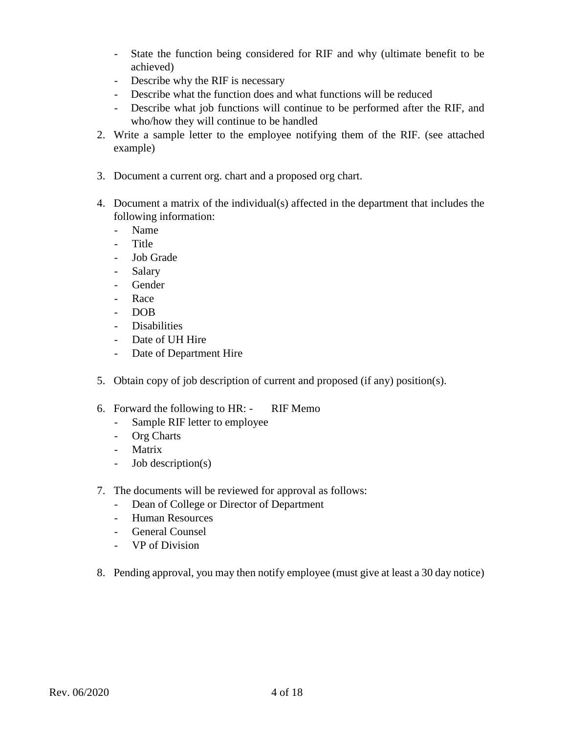- State the function being considered for RIF and why (ultimate benefit to be achieved)
- Describe why the RIF is necessary
- Describe what the function does and what functions will be reduced
- Describe what job functions will continue to be performed after the RIF, and who/how they will continue to be handled
- 2. Write a sample letter to the employee notifying them of the RIF. (see attached example)
- 3. Document a current org. chart and a proposed org chart.
- 4. Document a matrix of the individual(s) affected in the department that includes the following information:
	- Name
	- Title
	- Job Grade
	- Salary
	- Gender
	- Race
	- DOB
	- Disabilities
	- Date of UH Hire
	- Date of Department Hire
- 5. Obtain copy of job description of current and proposed (if any) position(s).
- 6. Forward the following to HR: RIF Memo
	- Sample RIF letter to employee
	- Org Charts
	- Matrix
	- Job description(s)
- 7. The documents will be reviewed for approval as follows:
	- Dean of College or Director of Department
	- Human Resources
	- General Counsel
	- VP of Division
- 8. Pending approval, you may then notify employee (must give at least a 30 day notice)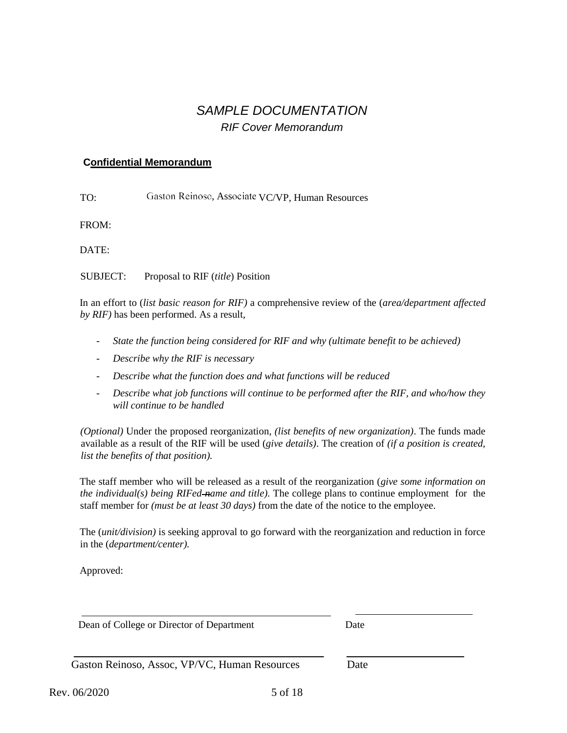# *SAMPLE DOCUMENTATION RIF Cover Memorandum*

#### **Confidential Memorandum**

TO: Gaston Reinoso, Associate VC/VP, Human Resources

FROM:

DATE:

SUBJECT: Proposal to RIF (*title*) Position

In an effort to (*list basic reason for RIF)* a comprehensive review of the (*area/department affected by RIF)* has been performed. As a result,

- *State the function being considered for RIF and why (ultimate benefit to be achieved)*
- *Describe why the RIF is necessary*
- *Describe what the function does and what functions will be reduced*
- *Describe what job functions will continue to be performed after the RIF, and who/how they will continue to be handled*

*(Optional)* Under the proposed reorganization, *(list benefits of new organization)*. The funds made available as a result of the RIF will be used (*give details)*. The creation of *(if a position is created, list the benefits of that position).* 

The staff member who will be released as a result of the reorganization (*give some information on the individual(s) being RIFed-name and title)*. The college plans to continue employment for the staff member for *(must be at least 30 days)* from the date of the notice to the employee.

The (*unit/division)* is seeking approval to go forward with the reorganization and reduction in force in the (*department/center).* 

Approved:

Dean of College or Director of Department Date

Gaston Reinoso, Assoc, VP/VC, Human Resources Date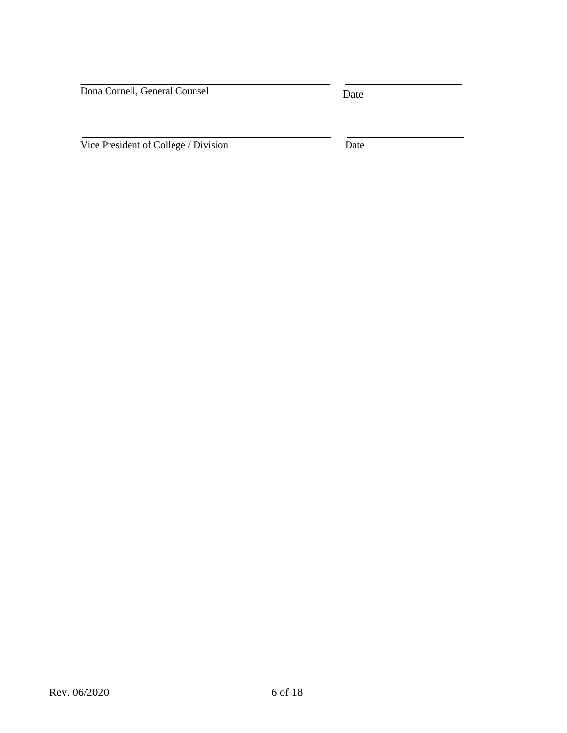Dona Cornell, General Counsel

Date

Vice President of College / Division Date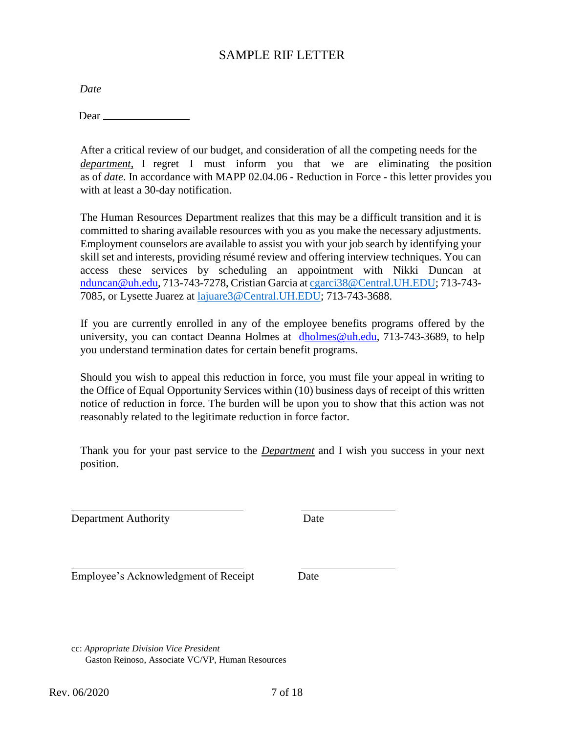# SAMPLE RIF LETTER

*Date* 

Dear \_\_

After a critical review of our budget, and consideration of all the competing needs for the *department*, I regret I must inform you that we are eliminating the position as of *date*. In accordance with MAPP 02.04.06 - Reduction in Force - this letter provides you with at least a 30-day notification.

The Human Resources Department realizes that this may be a difficult transition and it is committed to sharing available resources with you as you make the necessary adjustments. Employment counselors are available to assist you with your job search by identifying your skill set and interests, providing résumé review and offering interview techniques. You can access these services by scheduling an appointment with Nikki Duncan at nduncan@uh.edu, 713-743-7278, Cristian Garcia a[t cgarci38@Central.UH.EDU;](mailto:cgarci38@Central.UH.EDU) 713-743- 7085, or Lysette Juarez at [lajuare3@Central.UH.EDU;](mailto:lajuare3@Central.UH.EDU) 713-743-3688.

If you are currently enrolled in any of the employee benefits programs offered by the university, you can contact Deanna Holmes at dholmes@uh.edu, 713-743-3689, to help you understand termination dates for certain benefit programs.

Should you wish to appeal this reduction in force, you must file your appeal in writing to the Office of Equal Opportunity Services within (10) business days of receipt of this written notice of reduction in force. The burden will be upon you to show that this action was not reasonably related to the legitimate reduction in force factor.

Thank you for your past service to the *Department* and I wish you success in your next position.

Department Authority Date

Employee's Acknowledgment of Receipt Date

cc: *Appropriate Division Vice President* Gaston Reinoso, Associate VC/VP, Human Resources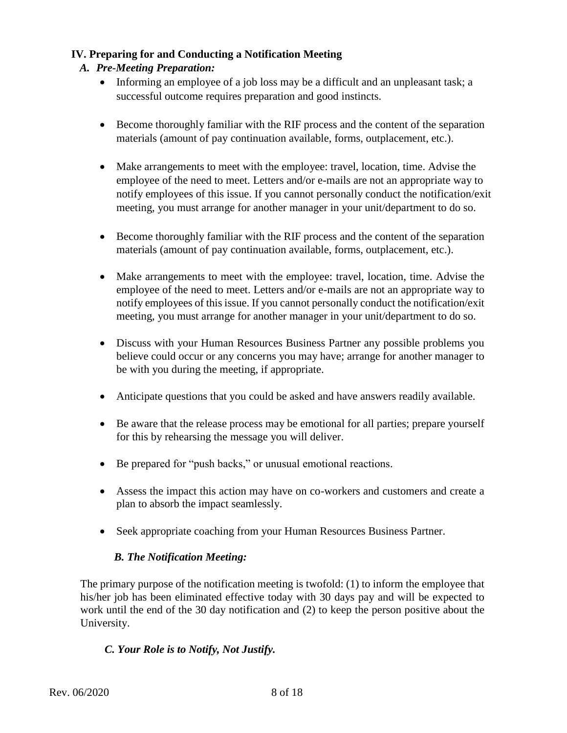# **IV. Preparing for and Conducting a Notification Meeting**

# *A. Pre-Meeting Preparation:*

- Informing an employee of a job loss may be a difficult and an unpleasant task; a successful outcome requires preparation and good instincts.
- Become thoroughly familiar with the RIF process and the content of the separation materials (amount of pay continuation available, forms, outplacement, etc.).
- Make arrangements to meet with the employee: travel, location, time. Advise the employee of the need to meet. Letters and/or e-mails are not an appropriate way to notify employees of this issue. If you cannot personally conduct the notification/exit meeting, you must arrange for another manager in your unit/department to do so.
- Become thoroughly familiar with the RIF process and the content of the separation materials (amount of pay continuation available, forms, outplacement, etc.).
- Make arrangements to meet with the employee: travel, location, time. Advise the employee of the need to meet. Letters and/or e-mails are not an appropriate way to notify employees of this issue. If you cannot personally conduct the notification/exit meeting, you must arrange for another manager in your unit/department to do so.
- Discuss with your Human Resources Business Partner any possible problems you believe could occur or any concerns you may have; arrange for another manager to be with you during the meeting, if appropriate.
- Anticipate questions that you could be asked and have answers readily available.
- Be aware that the release process may be emotional for all parties; prepare yourself for this by rehearsing the message you will deliver.
- Be prepared for "push backs," or unusual emotional reactions.
- Assess the impact this action may have on co-workers and customers and create a plan to absorb the impact seamlessly.
- Seek appropriate coaching from your Human Resources Business Partner.

# *B. The Notification Meeting:*

The primary purpose of the notification meeting is twofold: (1) to inform the employee that his/her job has been eliminated effective today with 30 days pay and will be expected to work until the end of the 30 day notification and (2) to keep the person positive about the University.

# *C. Your Role is to Notify, Not Justify.*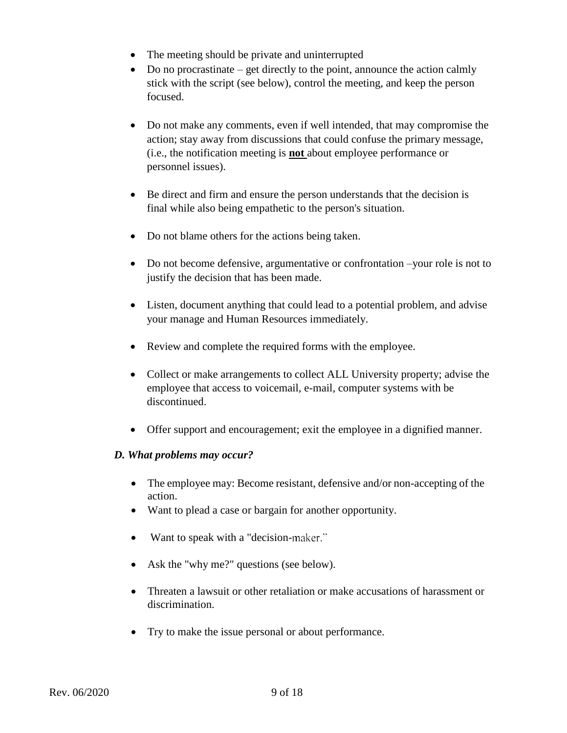- The meeting should be private and uninterrupted
- $\bullet$  Do no procrastinate get directly to the point, announce the action calmly stick with the script (see below), control the meeting, and keep the person focused.
- Do not make any comments, even if well intended, that may compromise the action; stay away from discussions that could confuse the primary message, (i.e., the notification meeting is **not** about employee performance or personnel issues).
- Be direct and firm and ensure the person understands that the decision is final while also being empathetic to the person's situation.
- Do not blame others for the actions being taken.
- Do not become defensive, argumentative or confrontation –your role is not to justify the decision that has been made.
- Listen, document anything that could lead to a potential problem, and advise your manage and Human Resources immediately.
- Review and complete the required forms with the employee.
- Collect or make arrangements to collect ALL University property; advise the employee that access to voicemail, e-mail, computer systems with be discontinued.
- Offer support and encouragement; exit the employee in a dignified manner.

#### *D. What problems may occur?*

- The employee may: Become resistant, defensive and/or non-accepting of the action.
- Want to plead a case or bargain for another opportunity.
- Want to speak with a "decision-maker."
- Ask the "why me?" questions (see below).
- Threaten a lawsuit or other retaliation or make accusations of harassment or discrimination.
- Try to make the issue personal or about performance.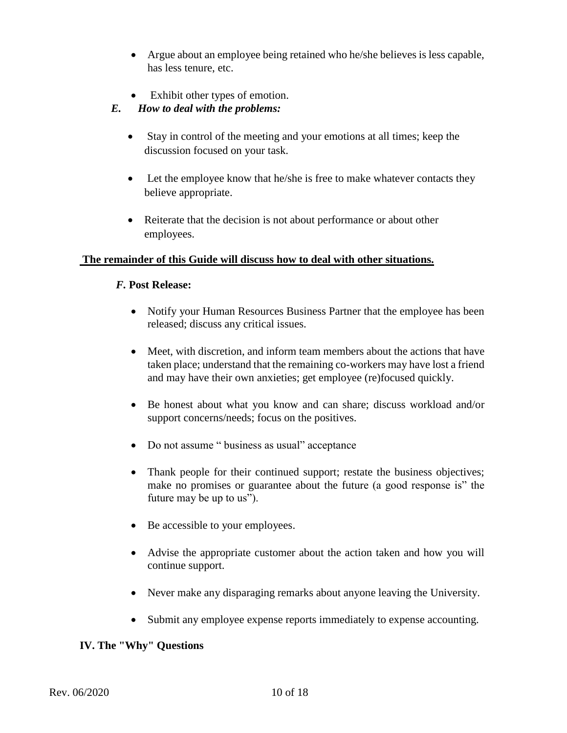- Argue about an employee being retained who he/she believes is less capable, has less tenure, etc.
- Exhibit other types of emotion.

# *E. How to deal with the problems:*

- Stay in control of the meeting and your emotions at all times; keep the discussion focused on your task.
- Let the employee know that he/she is free to make whatever contacts they believe appropriate.
- Reiterate that the decision is not about performance or about other employees.

# **The remainder of this Guide will discuss how to deal with other situations.**

# *F.* **Post Release:**

- Notify your Human Resources Business Partner that the employee has been released; discuss any critical issues.
- Meet, with discretion, and inform team members about the actions that have taken place; understand that the remaining co-workers may have lost a friend and may have their own anxieties; get employee (re)focused quickly.
- Be honest about what you know and can share; discuss workload and/or support concerns/needs; focus on the positives.
- Do not assume " business as usual" acceptance
- Thank people for their continued support; restate the business objectives; make no promises or guarantee about the future (a good response is" the future may be up to us").
- Be accessible to your employees.
- Advise the appropriate customer about the action taken and how you will continue support.
- Never make any disparaging remarks about anyone leaving the University.
- Submit any employee expense reports immediately to expense accounting.

# **IV. The "Why" Questions**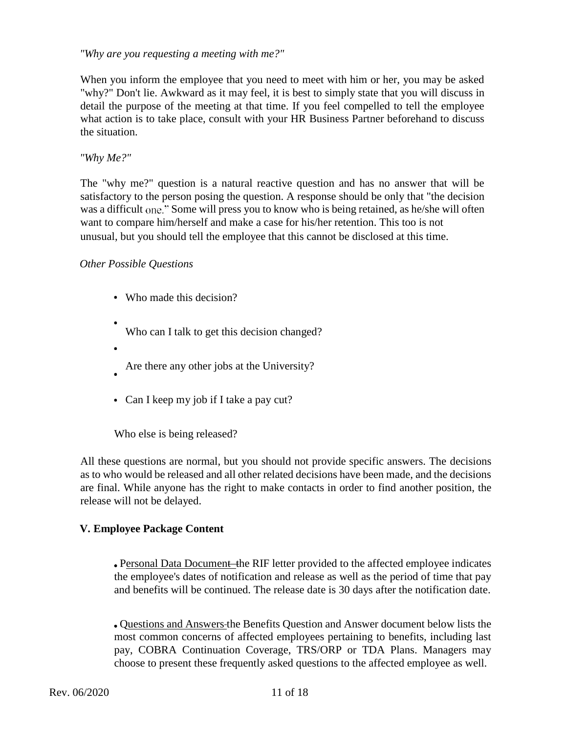#### *"Why are you requesting a meeting with me?"*

When you inform the employee that you need to meet with him or her, you may be asked "why?" Don't lie. Awkward as it may feel, it is best to simply state that you will discuss in detail the purpose of the meeting at that time. If you feel compelled to tell the employee what action is to take place, consult with your HR Business Partner beforehand to discuss the situation.

#### *"Why Me?"*

The "why me?" question is a natural reactive question and has no answer that will be satisfactory to the person posing the question. A response should be only that "the decision was a difficult one." Some will press you to know who is being retained, as he/she will often want to compare him/herself and make a case for his/her retention. This too is not unusual, but you should tell the employee that this cannot be disclosed at this time.

#### *Other Possible Questions*

- Who made this decision?
- Who can I talk to get this decision changed?
- Are there any other jobs at the University?
- Can I keep my job if I take a pay cut?

Who else is being released?

All these questions are normal, but you should not provide specific answers. The decisions as to who would be released and all other related decisions have been made, and the decisions are final. While anyone has the right to make contacts in order to find another position, the release will not be delayed.

#### **V. Employee Package Content**

• Personal Data Document the RIF letter provided to the affected employee indicates the employee's dates of notification and release as well as the period of time that pay and benefits will be continued. The release date is 30 days after the notification date.

Questions and Answers the Benefits Question and Answer document below lists the most common concerns of affected employees pertaining to benefits, including last pay, COBRA Continuation Coverage, TRS/ORP or TDA Plans. Managers may choose to present these frequently asked questions to the affected employee as well.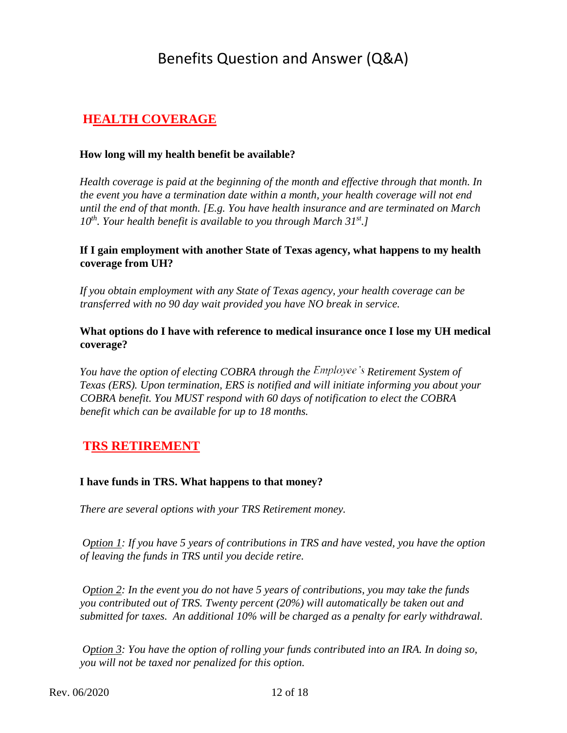# Benefits Question and Answer (Q&A)

# **HEALTH COVERAGE**

## **How long will my health benefit be available?**

*Health coverage is paid at the beginning of the month and effective through that month. In the event you have a termination date within a month, your health coverage will not end until the end of that month. [E.g. You have health insurance and are terminated on March 10th. Your health benefit is available to you through March 31st.]* 

## **If I gain employment with another State of Texas agency, what happens to my health coverage from UH?**

*If you obtain employment with any State of Texas agency, your health coverage can be transferred with no 90 day wait provided you have NO break in service.* 

# **What options do I have with reference to medical insurance once I lose my UH medical coverage?**

*You have the option of electing COBRA through the Employee's Retirement System of Texas (ERS). Upon termination, ERS is notified and will initiate informing you about your COBRA benefit. You MUST respond with 60 days of notification to elect the COBRA benefit which can be available for up to 18 months.* 

# **TRS RETIREMENT**

# **I have funds in TRS. What happens to that money?**

*There are several options with your TRS Retirement money.* 

*Option 1: If you have 5 years of contributions in TRS and have vested, you have the option of leaving the funds in TRS until you decide retire.* 

*Option 2: In the event you do not have 5 years of contributions, you may take the funds you contributed out of TRS. Twenty percent (20%) will automatically be taken out and submitted for taxes. An additional 10% will be charged as a penalty for early withdrawal.* 

*Option 3: You have the option of rolling your funds contributed into an IRA. In doing so, you will not be taxed nor penalized for this option.*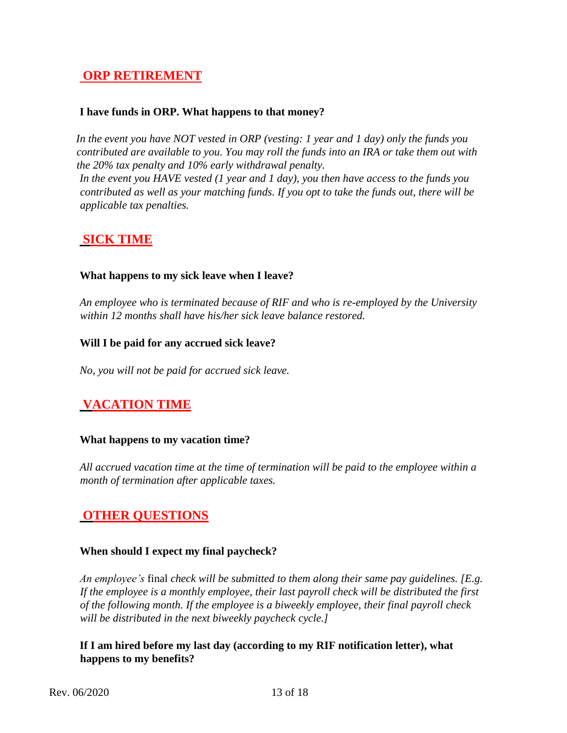# **ORP RETIREMENT**

#### **I have funds in ORP. What happens to that money?**

*In the event you have NOT vested in ORP (vesting: 1 year and 1 day) only the funds you contributed are available to you. You may roll the funds into an IRA or take them out with the 20% tax penalty and 10% early withdrawal penalty.* 

*In the event you HAVE vested (1 year and 1 day), you then have access to the funds you contributed as well as your matching funds. If you opt to take the funds out, there will be applicable tax penalties.* 

# **SICK TIME**

## **What happens to my sick leave when I leave?**

*An employee who is terminated because of RIF and who is re-employed by the University within 12 months shall have his/her sick leave balance restored.* 

#### **Will I be paid for any accrued sick leave?**

*No, you will not be paid for accrued sick leave.* 

# **VACATION TIME**

#### **What happens to my vacation time?**

*All accrued vacation time at the time of termination will be paid to the employee within a month of termination after applicable taxes.* 

# **OTHER QUESTIONS**

# **When should I expect my final paycheck?**

*An employee's* final *check will be submitted to them along their same pay guidelines. [E.g. If the employee is a monthly employee, their last payroll check will be distributed the first of the following month. If the employee is a biweekly employee, their final payroll check will be distributed in the next biweekly paycheck cycle.]* 

# **If I am hired before my last day (according to my RIF notification letter), what happens to my benefits?**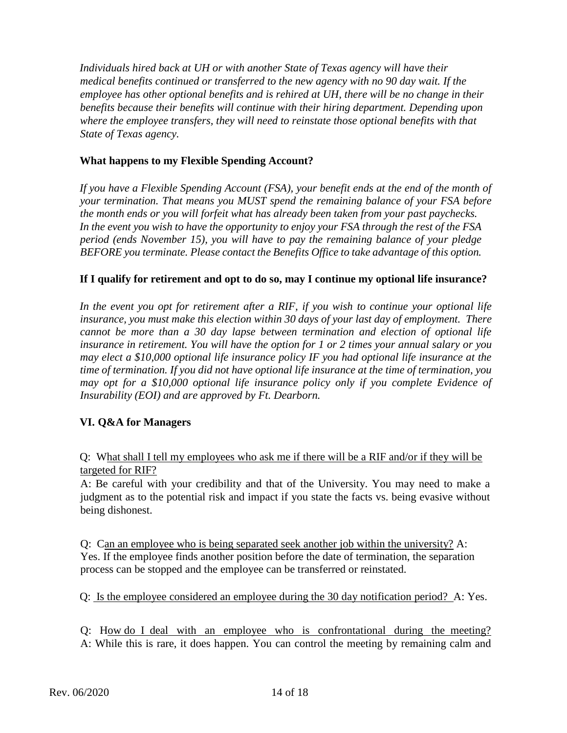*Individuals hired back at UH or with another State of Texas agency will have their medical benefits continued or transferred to the new agency with no 90 day wait. If the employee has other optional benefits and is rehired at UH, there will be no change in their benefits because their benefits will continue with their hiring department. Depending upon where the employee transfers, they will need to reinstate those optional benefits with that State of Texas agency.* 

# **What happens to my Flexible Spending Account?**

*If you have a Flexible Spending Account (FSA), your benefit ends at the end of the month of your termination. That means you MUST spend the remaining balance of your FSA before the month ends or you will forfeit what has already been taken from your past paychecks. In the event you wish to have the opportunity to enjoy your FSA through the rest of the FSA period (ends November 15), you will have to pay the remaining balance of your pledge BEFORE you terminate. Please contact the Benefits Office to take advantage of this option.* 

## **If I qualify for retirement and opt to do so, may I continue my optional life insurance?**

*In the event you opt for retirement after a RIF, if you wish to continue your optional life insurance, you must make this election within 30 days of your last day of employment. There cannot be more than a 30 day lapse between termination and election of optional life insurance in retirement. You will have the option for 1 or 2 times your annual salary or you may elect a \$10,000 optional life insurance policy IF you had optional life insurance at the time of termination. If you did not have optional life insurance at the time of termination, you may opt for a \$10,000 optional life insurance policy only if you complete Evidence of Insurability (EOI) and are approved by Ft. Dearborn.* 

# **VI. Q&A for Managers**

Q: What shall I tell my employees who ask me if there will be a RIF and/or if they will be targeted for RIF?

A: Be careful with your credibility and that of the University. You may need to make a judgment as to the potential risk and impact if you state the facts vs. being evasive without being dishonest.

Q: Can an employee who is being separated seek another job within the university? A: Yes. If the employee finds another position before the date of termination, the separation process can be stopped and the employee can be transferred or reinstated.

Q: Is the employee considered an employee during the 30 day notification period? A: Yes.

Q: How do I deal with an employee who is confrontational during the meeting? A: While this is rare, it does happen. You can control the meeting by remaining calm and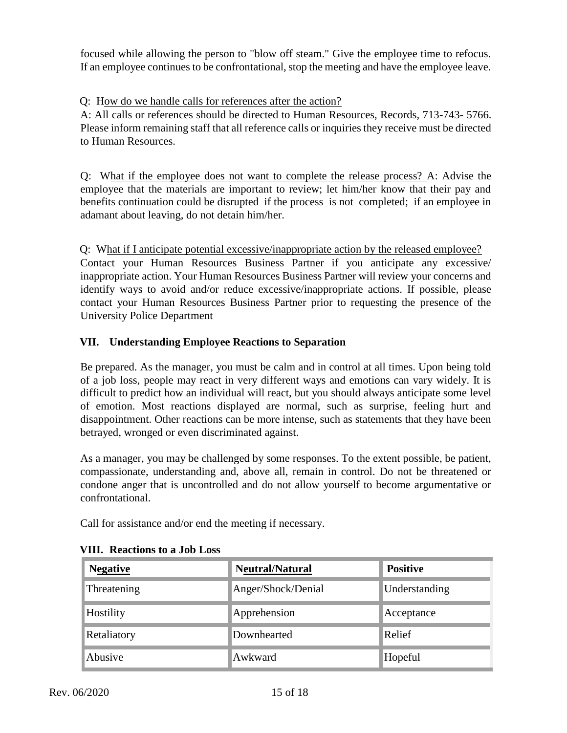focused while allowing the person to "blow off steam." Give the employee time to refocus. If an employee continues to be confrontational, stop the meeting and have the employee leave.

Q: How do we handle calls for references after the action?

A: All calls or references should be directed to Human Resources, Records, 713-743- 5766. Please inform remaining staff that all reference calls or inquiries they receive must be directed to Human Resources.

Q: What if the employee does not want to complete the release process? A: Advise the employee that the materials are important to review; let him/her know that their pay and benefits continuation could be disrupted if the process is not completed; if an employee in adamant about leaving, do not detain him/her.

Q: What if I anticipate potential excessive/inappropriate action by the released employee? Contact your Human Resources Business Partner if you anticipate any excessive/ inappropriate action. Your Human Resources Business Partner will review your concerns and identify ways to avoid and/or reduce excessive/inappropriate actions. If possible, please contact your Human Resources Business Partner prior to requesting the presence of the University Police Department

# **VII. Understanding Employee Reactions to Separation**

Be prepared. As the manager, you must be calm and in control at all times. Upon being told of a job loss, people may react in very different ways and emotions can vary widely. It is difficult to predict how an individual will react, but you should always anticipate some level of emotion. Most reactions displayed are normal, such as surprise, feeling hurt and disappointment. Other reactions can be more intense, such as statements that they have been betrayed, wronged or even discriminated against.

As a manager, you may be challenged by some responses. To the extent possible, be patient, compassionate, understanding and, above all, remain in control. Do not be threatened or condone anger that is uncontrolled and do not allow yourself to become argumentative or confrontational.

Call for assistance and/or end the meeting if necessary.

| <b>Negative</b> | Neutral/Natural    | <b>Positive</b> |
|-----------------|--------------------|-----------------|
| Threatening     | Anger/Shock/Denial | Understanding   |
| Hostility       | Apprehension       | Acceptance      |
| Retaliatory     | Downhearted        | Relief          |
| Abusive         | Awkward            | Hopeful         |

#### **VIII. Reactions to a Job Loss**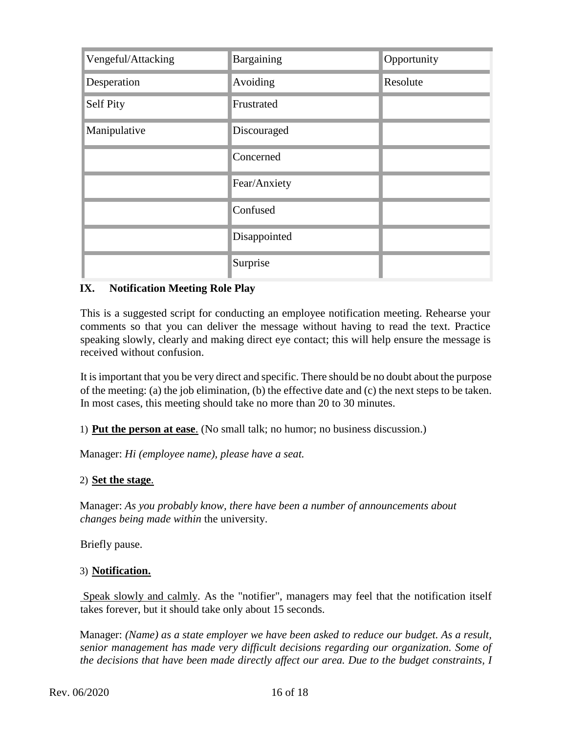| Vengeful/Attacking | Bargaining   | Opportunity |
|--------------------|--------------|-------------|
| Desperation        | Avoiding     | Resolute    |
| Self Pity          | Frustrated   |             |
| Manipulative       | Discouraged  |             |
|                    | Concerned    |             |
|                    | Fear/Anxiety |             |
|                    | Confused     |             |
|                    | Disappointed |             |
|                    | Surprise     |             |

# **IX. Notification Meeting Role Play**

This is a suggested script for conducting an employee notification meeting. Rehearse your comments so that you can deliver the message without having to read the text. Practice speaking slowly, clearly and making direct eye contact; this will help ensure the message is received without confusion.

It is important that you be very direct and specific. There should be no doubt about the purpose of the meeting: (a) the job elimination, (b) the effective date and (c) the next steps to be taken. In most cases, this meeting should take no more than 20 to 30 minutes.

1) **Put the person at ease**. (No small talk; no humor; no business discussion.)

Manager: *Hi (employee name), please have a seat.* 

#### 2) **Set the stage**.

Manager: *As you probably know, there have been a number of announcements about changes being made within* the university.

Briefly pause.

#### 3) **Notification.**

Speak slowly and calmly. As the "notifier", managers may feel that the notification itself takes forever, but it should take only about 15 seconds.

Manager: *(Name) as a state employer we have been asked to reduce our budget. As a result, senior management has made very difficult decisions regarding our organization. Some of the decisions that have been made directly affect our area. Due to the budget constraints, I*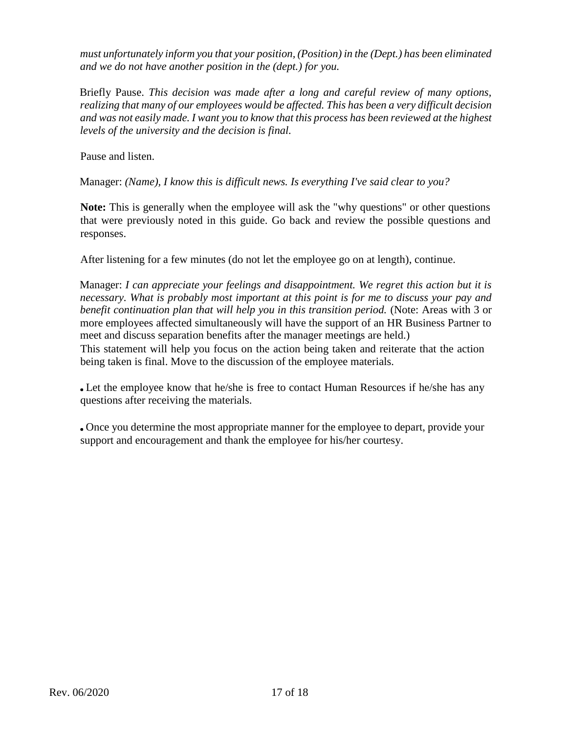*must unfortunately inform you that your position, (Position) in the (Dept.) has been eliminated and we do not have another position in the (dept.) for you.* 

Briefly Pause. *This decision was made after a long and careful review of many options, realizing that many of our employees would be affected. This has been a very difficult decision and was not easily made. I want you to know that this process has been reviewed at the highest levels of the university and the decision is final.* 

Pause and listen.

Manager: *(Name), I know this is difficult news. Is everything I've said clear to you?* 

**Note:** This is generally when the employee will ask the "why questions" or other questions that were previously noted in this guide. Go back and review the possible questions and responses.

After listening for a few minutes (do not let the employee go on at length), continue.

Manager: *I can appreciate your feelings and disappointment. We regret this action but it is necessary. What is probably most important at this point is for me to discuss your pay and benefit continuation plan that will help you in this transition period.* (Note: Areas with 3 or more employees affected simultaneously will have the support of an HR Business Partner to meet and discuss separation benefits after the manager meetings are held.) This statement will help you focus on the action being taken and reiterate that the action

being taken is final. Move to the discussion of the employee materials.

Let the employee know that he/she is free to contact Human Resources if he/she has any questions after receiving the materials.

Once you determine the most appropriate manner for the employee to depart, provide your support and encouragement and thank the employee for his/her courtesy.